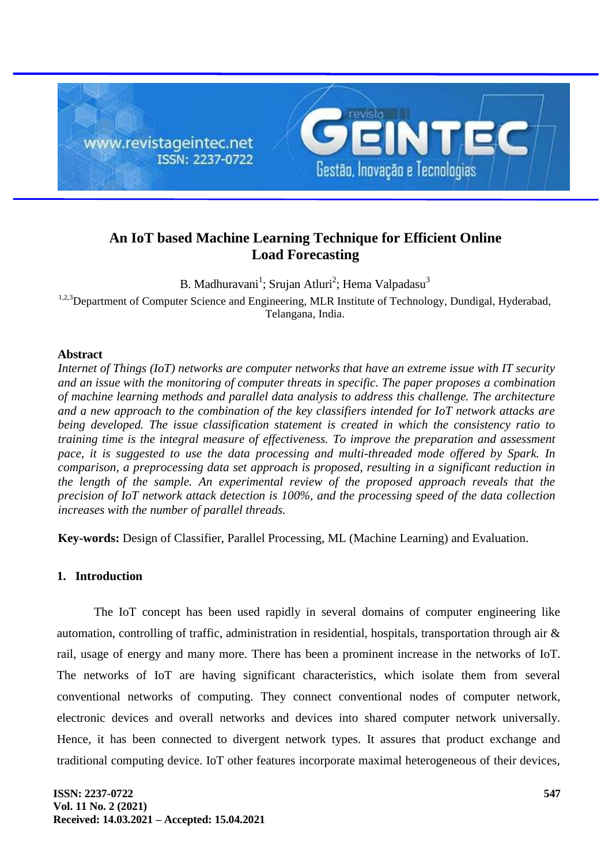

# **An IoT based Machine Learning Technique for Efficient Online Load Forecasting**

B. Madhuravani<sup>1</sup>; Srujan Atluri<sup>2</sup>; Hema Valpadasu<sup>3</sup> <sup>1,2,3</sup>Department of Computer Science and Engineering, MLR Institute of Technology, Dundigal, Hyderabad, Telangana, India.

# **Abstract**

*Internet of Things (IoT) networks are computer networks that have an extreme issue with IT security and an issue with the monitoring of computer threats in specific. The paper proposes a combination of machine learning methods and parallel data analysis to address this challenge. The architecture and a new approach to the combination of the key classifiers intended for IoT network attacks are being developed. The issue classification statement is created in which the consistency ratio to training time is the integral measure of effectiveness. To improve the preparation and assessment pace, it is suggested to use the data processing and multi-threaded mode offered by Spark. In comparison, a preprocessing data set approach is proposed, resulting in a significant reduction in the length of the sample. An experimental review of the proposed approach reveals that the precision of IoT network attack detection is 100%, and the processing speed of the data collection increases with the number of parallel threads.*

**Key-words:** Design of Classifier, Parallel Processing, ML (Machine Learning) and Evaluation.

# **1. Introduction**

The IoT concept has been used rapidly in several domains of computer engineering like automation, controlling of traffic, administration in residential, hospitals, transportation through air & rail, usage of energy and many more. There has been a prominent increase in the networks of IoT. The networks of IoT are having significant characteristics, which isolate them from several conventional networks of computing. They connect conventional nodes of computer network, electronic devices and overall networks and devices into shared computer network universally. Hence, it has been connected to divergent network types. It assures that product exchange and traditional computing device. IoT other features incorporate maximal heterogeneous of their devices,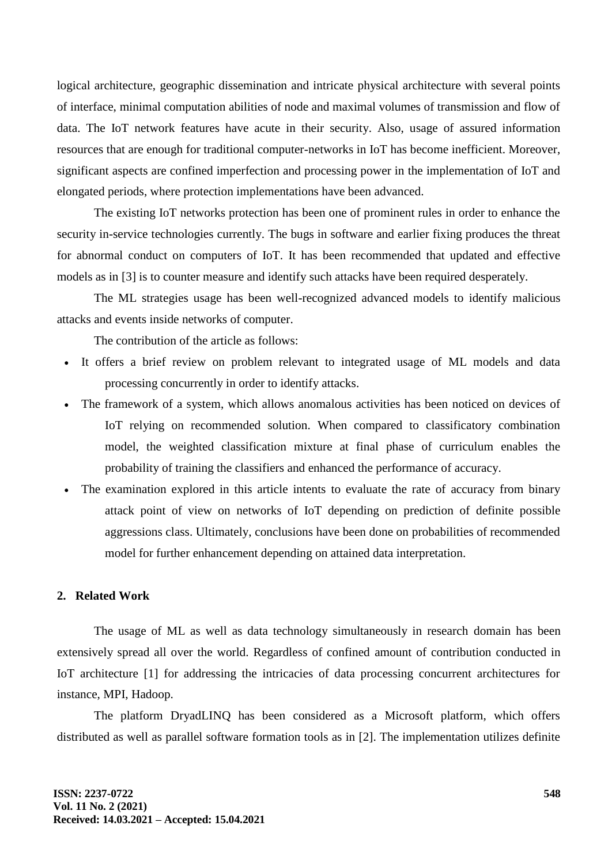logical architecture, geographic dissemination and intricate physical architecture with several points of interface, minimal computation abilities of node and maximal volumes of transmission and flow of data. The IoT network features have acute in their security. Also, usage of assured information resources that are enough for traditional computer-networks in IoT has become inefficient. Moreover, significant aspects are confined imperfection and processing power in the implementation of IoT and elongated periods, where protection implementations have been advanced.

The existing IoT networks protection has been one of prominent rules in order to enhance the security in-service technologies currently. The bugs in software and earlier fixing produces the threat for abnormal conduct on computers of IoT. It has been recommended that updated and effective models as in [3] is to counter measure and identify such attacks have been required desperately.

The ML strategies usage has been well-recognized advanced models to identify malicious attacks and events inside networks of computer.

The contribution of the article as follows:

- It offers a brief review on problem relevant to integrated usage of ML models and data processing concurrently in order to identify attacks.
- The framework of a system, which allows anomalous activities has been noticed on devices of IoT relying on recommended solution. When compared to classificatory combination model, the weighted classification mixture at final phase of curriculum enables the probability of training the classifiers and enhanced the performance of accuracy.
- The examination explored in this article intents to evaluate the rate of accuracy from binary attack point of view on networks of IoT depending on prediction of definite possible aggressions class. Ultimately, conclusions have been done on probabilities of recommended model for further enhancement depending on attained data interpretation.

# **2. Related Work**

The usage of ML as well as data technology simultaneously in research domain has been extensively spread all over the world. Regardless of confined amount of contribution conducted in IoT architecture [1] for addressing the intricacies of data processing concurrent architectures for instance, MPI, Hadoop.

The platform DryadLINQ has been considered as a Microsoft platform, which offers distributed as well as parallel software formation tools as in [2]. The implementation utilizes definite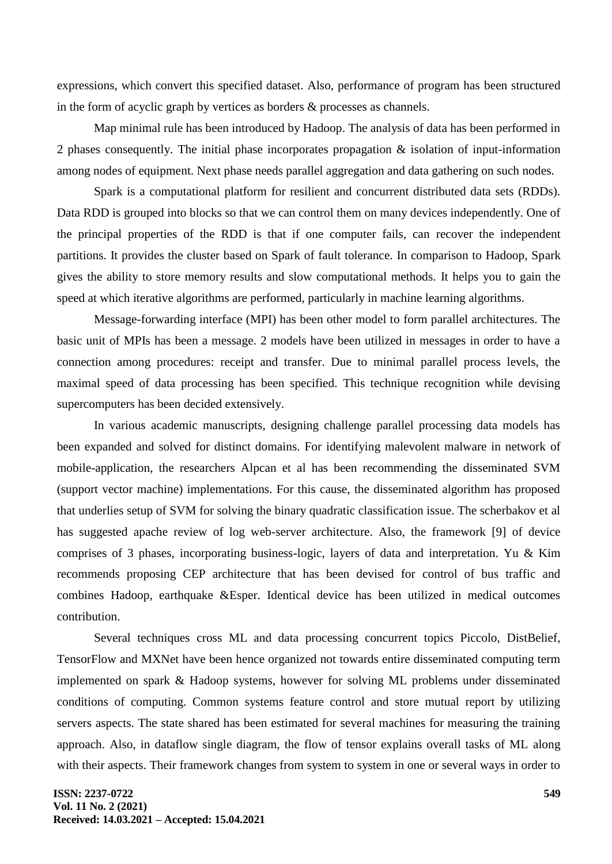expressions, which convert this specified dataset. Also, performance of program has been structured in the form of acyclic graph by vertices as borders & processes as channels.

Map minimal rule has been introduced by Hadoop. The analysis of data has been performed in 2 phases consequently. The initial phase incorporates propagation  $\&$  isolation of input-information among nodes of equipment. Next phase needs parallel aggregation and data gathering on such nodes.

Spark is a computational platform for resilient and concurrent distributed data sets (RDDs). Data RDD is grouped into blocks so that we can control them on many devices independently. One of the principal properties of the RDD is that if one computer fails, can recover the independent partitions. It provides the cluster based on Spark of fault tolerance. In comparison to Hadoop, Spark gives the ability to store memory results and slow computational methods. It helps you to gain the speed at which iterative algorithms are performed, particularly in machine learning algorithms.

Message-forwarding interface (MPI) has been other model to form parallel architectures. The basic unit of MPIs has been a message. 2 models have been utilized in messages in order to have a connection among procedures: receipt and transfer. Due to minimal parallel process levels, the maximal speed of data processing has been specified. This technique recognition while devising supercomputers has been decided extensively.

In various academic manuscripts, designing challenge parallel processing data models has been expanded and solved for distinct domains. For identifying malevolent malware in network of mobile-application, the researchers Alpcan et al has been recommending the disseminated SVM (support vector machine) implementations. For this cause, the disseminated algorithm has proposed that underlies setup of SVM for solving the binary quadratic classification issue. The scherbakov et al has suggested apache review of log web-server architecture. Also, the framework [9] of device comprises of 3 phases, incorporating business-logic, layers of data and interpretation. Yu & Kim recommends proposing CEP architecture that has been devised for control of bus traffic and combines Hadoop, earthquake &Esper. Identical device has been utilized in medical outcomes contribution.

Several techniques cross ML and data processing concurrent topics Piccolo, DistBelief, TensorFlow and MXNet have been hence organized not towards entire disseminated computing term implemented on spark & Hadoop systems, however for solving ML problems under disseminated conditions of computing. Common systems feature control and store mutual report by utilizing servers aspects. The state shared has been estimated for several machines for measuring the training approach. Also, in dataflow single diagram, the flow of tensor explains overall tasks of ML along with their aspects. Their framework changes from system to system in one or several ways in order to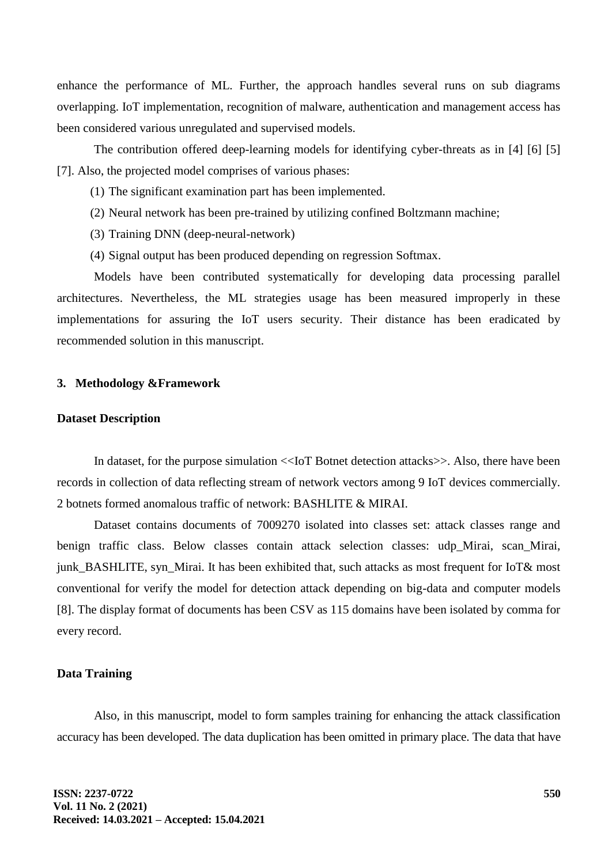enhance the performance of ML. Further, the approach handles several runs on sub diagrams overlapping. IoT implementation, recognition of malware, authentication and management access has been considered various unregulated and supervised models.

The contribution offered deep-learning models for identifying cyber-threats as in [4] [6] [5] [7]. Also, the projected model comprises of various phases:

- (1) The significant examination part has been implemented.
- (2) Neural network has been pre-trained by utilizing confined Boltzmann machine;
- (3) Training DNN (deep-neural-network)
- (4) Signal output has been produced depending on regression Softmax.

Models have been contributed systematically for developing data processing parallel architectures. Nevertheless, the ML strategies usage has been measured improperly in these implementations for assuring the IoT users security. Their distance has been eradicated by recommended solution in this manuscript.

#### **3. Methodology &Framework**

#### **Dataset Description**

In dataset, for the purpose simulation <<IoT Botnet detection attacks>>. Also, there have been records in collection of data reflecting stream of network vectors among 9 IoT devices commercially. 2 botnets formed anomalous traffic of network: BASHLITE & MIRAI.

Dataset contains documents of 7009270 isolated into classes set: attack classes range and benign traffic class. Below classes contain attack selection classes: udp\_Mirai, scan\_Mirai, junk\_BASHLITE, syn\_Mirai. It has been exhibited that, such attacks as most frequent for IoT& most conventional for verify the model for detection attack depending on big-data and computer models [8]. The display format of documents has been CSV as 115 domains have been isolated by comma for every record.

#### **Data Training**

Also, in this manuscript, model to form samples training for enhancing the attack classification accuracy has been developed. The data duplication has been omitted in primary place. The data that have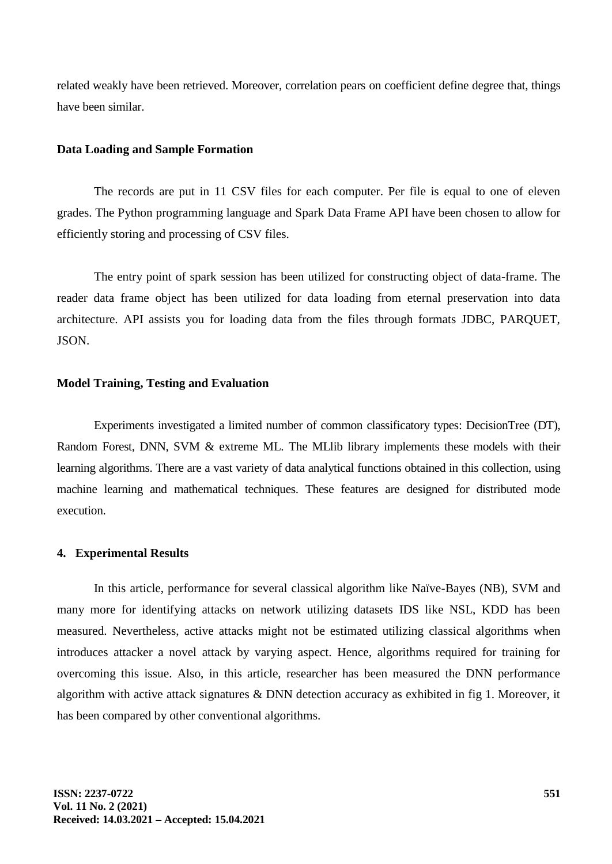related weakly have been retrieved. Moreover, correlation pears on coefficient define degree that, things have been similar.

#### **Data Loading and Sample Formation**

The records are put in 11 CSV files for each computer. Per file is equal to one of eleven grades. The Python programming language and Spark Data Frame API have been chosen to allow for efficiently storing and processing of CSV files.

The entry point of spark session has been utilized for constructing object of data-frame. The reader data frame object has been utilized for data loading from eternal preservation into data architecture. API assists you for loading data from the files through formats JDBC, PARQUET, JSON.

#### **Model Training, Testing and Evaluation**

Experiments investigated a limited number of common classificatory types: DecisionTree (DT), Random Forest, DNN, SVM & extreme ML. The MLlib library implements these models with their learning algorithms. There are a vast variety of data analytical functions obtained in this collection, using machine learning and mathematical techniques. These features are designed for distributed mode execution.

### **4. Experimental Results**

In this article, performance for several classical algorithm like Naïve-Bayes (NB), SVM and many more for identifying attacks on network utilizing datasets IDS like NSL, KDD has been measured. Nevertheless, active attacks might not be estimated utilizing classical algorithms when introduces attacker a novel attack by varying aspect. Hence, algorithms required for training for overcoming this issue. Also, in this article, researcher has been measured the DNN performance algorithm with active attack signatures & DNN detection accuracy as exhibited in fig 1. Moreover, it has been compared by other conventional algorithms.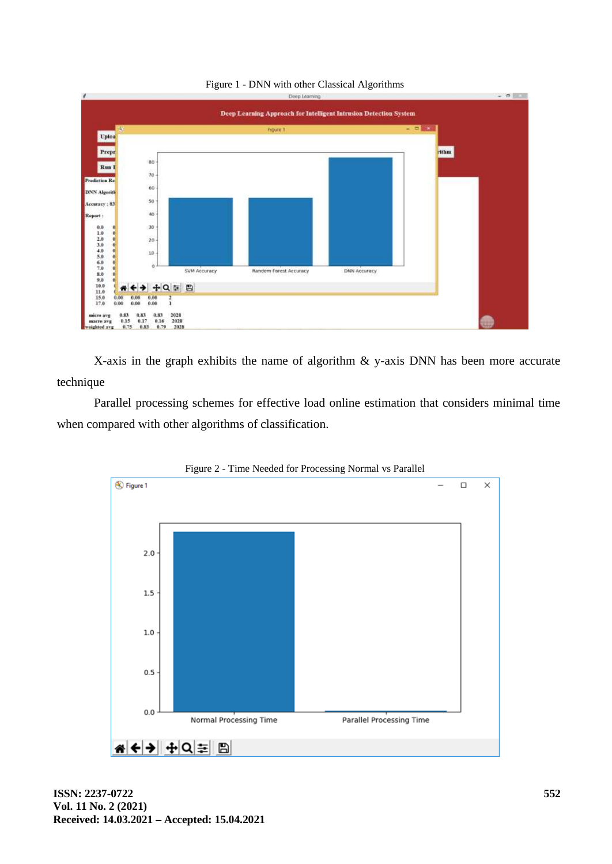

Figure 1 - DNN with other Classical Algorithms

X-axis in the graph exhibits the name of algorithm & y-axis DNN has been more accurate technique

Parallel processing schemes for effective load online estimation that considers minimal time when compared with other algorithms of classification.



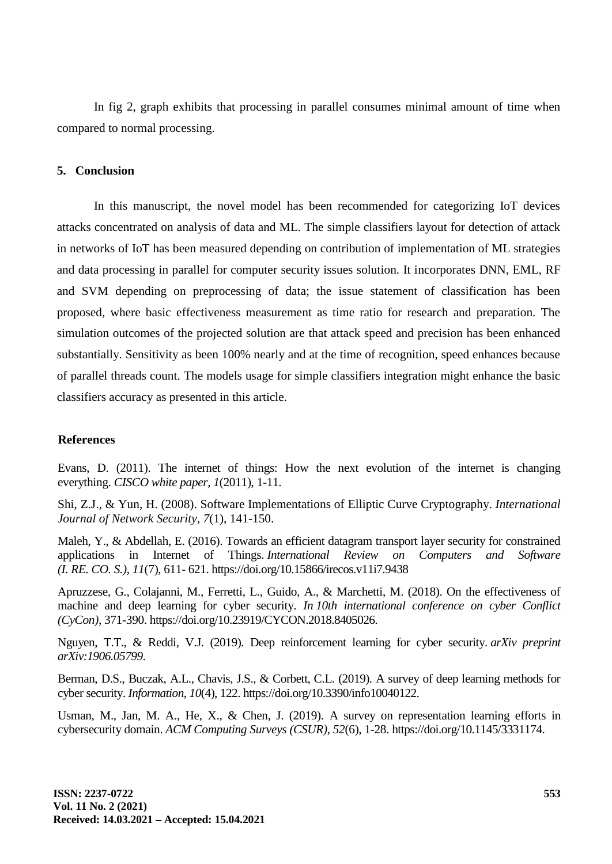In fig 2, graph exhibits that processing in parallel consumes minimal amount of time when compared to normal processing.

### **5. Conclusion**

In this manuscript, the novel model has been recommended for categorizing IoT devices attacks concentrated on analysis of data and ML. The simple classifiers layout for detection of attack in networks of IoT has been measured depending on contribution of implementation of ML strategies and data processing in parallel for computer security issues solution. It incorporates DNN, EML, RF and SVM depending on preprocessing of data; the issue statement of classification has been proposed, where basic effectiveness measurement as time ratio for research and preparation. The simulation outcomes of the projected solution are that attack speed and precision has been enhanced substantially. Sensitivity as been 100% nearly and at the time of recognition, speed enhances because of parallel threads count. The models usage for simple classifiers integration might enhance the basic classifiers accuracy as presented in this article.

### **References**

Evans, D. (2011). The internet of things: How the next evolution of the internet is changing everything. *CISCO white paper*, *1*(2011), 1-11.

Shi, Z.J., & Yun, H. (2008). Software Implementations of Elliptic Curve Cryptography. *International Journal of Network Security*, *7*(1), 141-150.

Maleh, Y., & Abdellah, E. (2016). Towards an efficient datagram transport layer security for constrained applications in Internet of Things. *International Review on Computers and Software (I. RE. CO. S.)*, *11*(7), 611- 621. https://doi.org/10.15866/irecos.v11i7.9438

Apruzzese, G., Colajanni, M., Ferretti, L., Guido, A., & Marchetti, M. (2018). On the effectiveness of machine and deep learning for cyber security. *In 10th international conference on cyber Conflict (CyCon)*, 371-390. https://doi.org/10.23919/CYCON.2018.8405026.

Nguyen, T.T., & Reddi, V.J. (2019). Deep reinforcement learning for cyber security. *arXiv preprint arXiv:1906.05799*.

Berman, D.S., Buczak, A.L., Chavis, J.S., & Corbett, C.L. (2019). A survey of deep learning methods for cyber security. *Information*, *10*(4), 122. https://doi.org/10.3390/info10040122.

Usman, M., Jan, M. A., He, X., & Chen, J. (2019). A survey on representation learning efforts in cybersecurity domain. *ACM Computing Surveys (CSUR)*, *52*(6), 1-28. https://doi.org/10.1145/3331174.